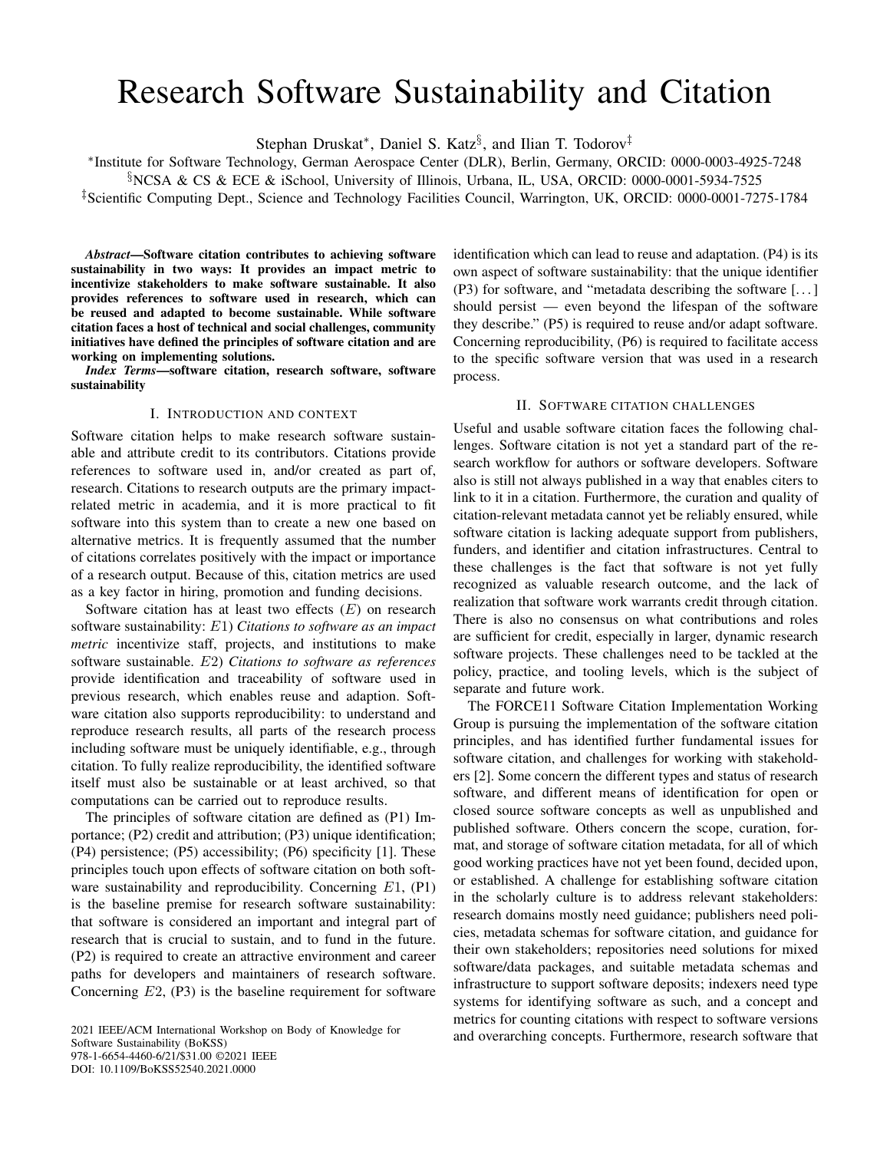# Research Software Sustainability and Citation

Stephan Druskat\*, Daniel S. Katz<sup>§</sup>, and Ilian T. Todorov<sup>‡</sup>

∗ Institute for Software Technology, German Aerospace Center (DLR), Berlin, Germany, ORCID: 0000-0003-4925-7248

§NCSA & CS & ECE & iSchool, University of Illinois, Urbana, IL, USA, ORCID: 0000-0001-5934-7525

‡Scientific Computing Dept., Science and Technology Facilities Council, Warrington, UK, ORCID: 0000-0001-7275-1784

*Abstract*—Software citation contributes to achieving software sustainability in two ways: It provides an impact metric to incentivize stakeholders to make software sustainable. It also provides references to software used in research, which can be reused and adapted to become sustainable. While software citation faces a host of technical and social challenges, community initiatives have defined the principles of software citation and are working on implementing solutions.

*Index Terms*—software citation, research software, software sustainability

#### I. INTRODUCTION AND CONTEXT

Software citation helps to make research software sustainable and attribute credit to its contributors. Citations provide references to software used in, and/or created as part of, research. Citations to research outputs are the primary impactrelated metric in academia, and it is more practical to fit software into this system than to create a new one based on alternative metrics. It is frequently assumed that the number of citations correlates positively with the impact or importance of a research output. Because of this, citation metrics are used as a key factor in hiring, promotion and funding decisions.

Software citation has at least two effects  $(E)$  on research software sustainability: E1) *Citations to software as an impact metric* incentivize staff, projects, and institutions to make software sustainable. E2) *Citations to software as references* provide identification and traceability of software used in previous research, which enables reuse and adaption. Software citation also supports reproducibility: to understand and reproduce research results, all parts of the research process including software must be uniquely identifiable, e.g., through citation. To fully realize reproducibility, the identified software itself must also be sustainable or at least archived, so that computations can be carried out to reproduce results.

The principles of software citation are defined as (P1) Importance; (P2) credit and attribution; (P3) unique identification; (P4) persistence; (P5) accessibility; (P6) specificity [1]. These principles touch upon effects of software citation on both software sustainability and reproducibility. Concerning E1, (P1) is the baseline premise for research software sustainability: that software is considered an important and integral part of research that is crucial to sustain, and to fund in the future. (P2) is required to create an attractive environment and career paths for developers and maintainers of research software. Concerning  $E2$ , (P3) is the baseline requirement for software

Software Sustainability (BoKSS) 978-1-6654-4460-6/21/\$31.00 ©2021 IEEE DOI: 10.1109/BoKSS52540.2021.0000

identification which can lead to reuse and adaptation. (P4) is its own aspect of software sustainability: that the unique identifier (P3) for software, and "metadata describing the software [. . . ] should persist — even beyond the lifespan of the software they describe." (P5) is required to reuse and/or adapt software. Concerning reproducibility, (P6) is required to facilitate access to the specific software version that was used in a research process.

## II. SOFTWARE CITATION CHALLENGES

Useful and usable software citation faces the following challenges. Software citation is not yet a standard part of the research workflow for authors or software developers. Software also is still not always published in a way that enables citers to link to it in a citation. Furthermore, the curation and quality of citation-relevant metadata cannot yet be reliably ensured, while software citation is lacking adequate support from publishers, funders, and identifier and citation infrastructures. Central to these challenges is the fact that software is not yet fully recognized as valuable research outcome, and the lack of realization that software work warrants credit through citation. There is also no consensus on what contributions and roles are sufficient for credit, especially in larger, dynamic research software projects. These challenges need to be tackled at the policy, practice, and tooling levels, which is the subject of separate and future work.

The FORCE11 Software Citation Implementation Working Group is pursuing the implementation of the software citation principles, and has identified further fundamental issues for software citation, and challenges for working with stakeholders [2]. Some concern the different types and status of research software, and different means of identification for open or closed source software concepts as well as unpublished and published software. Others concern the scope, curation, format, and storage of software citation metadata, for all of which good working practices have not yet been found, decided upon, or established. A challenge for establishing software citation in the scholarly culture is to address relevant stakeholders: research domains mostly need guidance; publishers need policies, metadata schemas for software citation, and guidance for their own stakeholders; repositories need solutions for mixed software/data packages, and suitable metadata schemas and infrastructure to support software deposits; indexers need type systems for identifying software as such, and a concept and metrics for counting citations with respect to software versions 2021 IEEE/ACM International Workshop on Body of Knowledge for and overarching concepts. Furthermore, research software that 2021 IEEE/ACM International Workshop on Body of Knowledge for and overarching concepts. Furthermor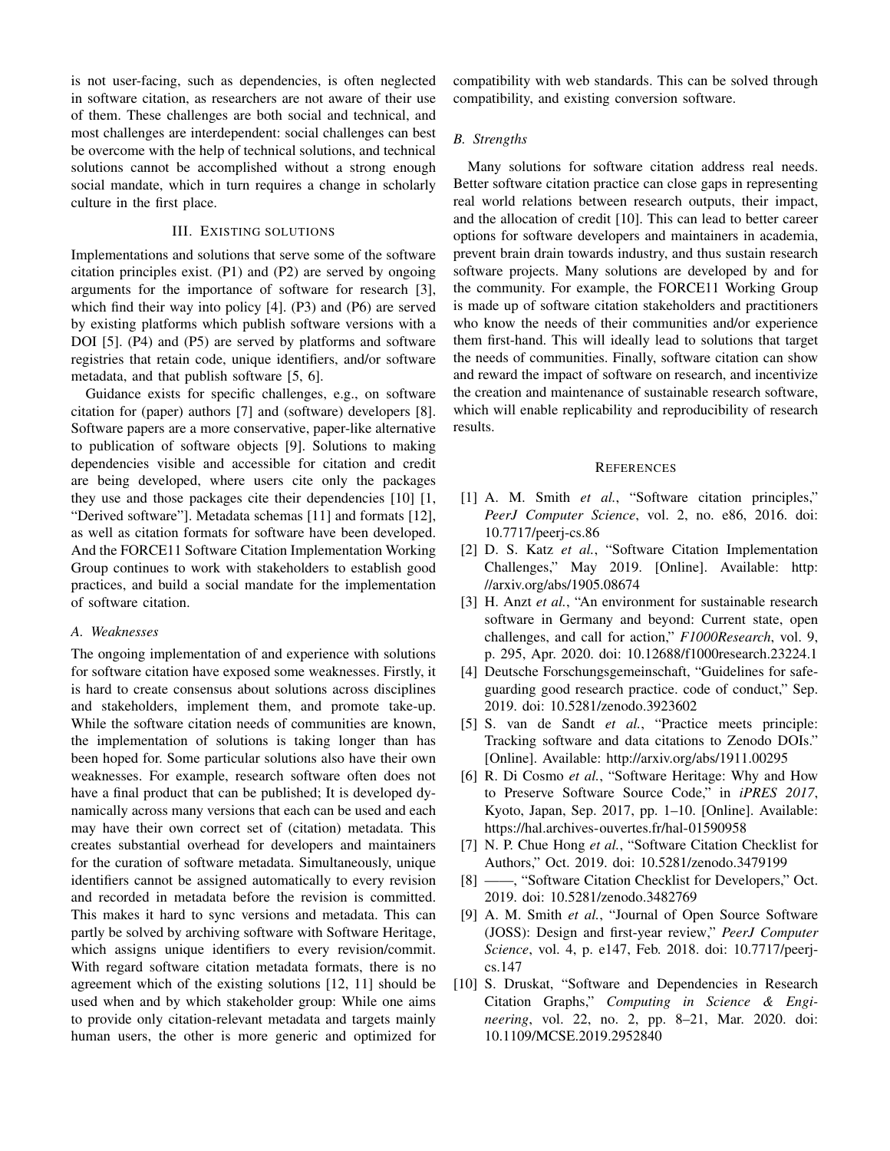is not user-facing, such as dependencies, is often neglected in software citation, as researchers are not aware of their use of them. These challenges are both social and technical, and most challenges are interdependent: social challenges can best be overcome with the help of technical solutions, and technical solutions cannot be accomplished without a strong enough social mandate, which in turn requires a change in scholarly culture in the first place.

## III. EXISTING SOLUTIONS

Implementations and solutions that serve some of the software citation principles exist. (P1) and (P2) are served by ongoing arguments for the importance of software for research [3], which find their way into policy [4]. (P3) and (P6) are served by existing platforms which publish software versions with a DOI [5]. (P4) and (P5) are served by platforms and software registries that retain code, unique identifiers, and/or software metadata, and that publish software [5, 6].

Guidance exists for specific challenges, e.g., on software citation for (paper) authors [7] and (software) developers [8]. Software papers are a more conservative, paper-like alternative to publication of software objects [9]. Solutions to making dependencies visible and accessible for citation and credit are being developed, where users cite only the packages they use and those packages cite their dependencies [10] [1, "Derived software"]. Metadata schemas [11] and formats [12], as well as citation formats for software have been developed. And the FORCE11 Software Citation Implementation Working Group continues to work with stakeholders to establish good practices, and build a social mandate for the implementation of software citation.

#### *A. Weaknesses*

The ongoing implementation of and experience with solutions for software citation have exposed some weaknesses. Firstly, it is hard to create consensus about solutions across disciplines and stakeholders, implement them, and promote take-up. While the software citation needs of communities are known, the implementation of solutions is taking longer than has been hoped for. Some particular solutions also have their own weaknesses. For example, research software often does not have a final product that can be published; It is developed dynamically across many versions that each can be used and each may have their own correct set of (citation) metadata. This creates substantial overhead for developers and maintainers for the curation of software metadata. Simultaneously, unique identifiers cannot be assigned automatically to every revision and recorded in metadata before the revision is committed. This makes it hard to sync versions and metadata. This can partly be solved by archiving software with Software Heritage, which assigns unique identifiers to every revision/commit. With regard software citation metadata formats, there is no agreement which of the existing solutions [12, 11] should be used when and by which stakeholder group: While one aims to provide only citation-relevant metadata and targets mainly human users, the other is more generic and optimized for

compatibility with web standards. This can be solved through compatibility, and existing conversion software.

#### *B. Strengths*

Many solutions for software citation address real needs. Better software citation practice can close gaps in representing real world relations between research outputs, their impact, and the allocation of credit [10]. This can lead to better career options for software developers and maintainers in academia, prevent brain drain towards industry, and thus sustain research software projects. Many solutions are developed by and for the community. For example, the FORCE11 Working Group is made up of software citation stakeholders and practitioners who know the needs of their communities and/or experience them first-hand. This will ideally lead to solutions that target the needs of communities. Finally, software citation can show and reward the impact of software on research, and incentivize the creation and maintenance of sustainable research software, which will enable replicability and reproducibility of research results.

#### **REFERENCES**

- [1] A. M. Smith *et al.*, "Software citation principles," *PeerJ Computer Science*, vol. 2, no. e86, 2016. doi: 10.7717/peerj-cs.86
- [2] D. S. Katz *et al.*, "Software Citation Implementation Challenges," May 2019. [Online]. Available: http: //arxiv.org/abs/1905.08674
- [3] H. Anzt *et al.*, "An environment for sustainable research software in Germany and beyond: Current state, open challenges, and call for action," *F1000Research*, vol. 9, p. 295, Apr. 2020. doi: 10.12688/f1000research.23224.1
- [4] Deutsche Forschungsgemeinschaft, "Guidelines for safeguarding good research practice. code of conduct," Sep. 2019. doi: 10.5281/zenodo.3923602
- [5] S. van de Sandt *et al.*, "Practice meets principle: Tracking software and data citations to Zenodo DOIs." [Online]. Available: http://arxiv.org/abs/1911.00295
- [6] R. Di Cosmo *et al.*, "Software Heritage: Why and How to Preserve Software Source Code," in *iPRES 2017*, Kyoto, Japan, Sep. 2017, pp. 1–10. [Online]. Available: https://hal.archives-ouvertes.fr/hal-01590958
- [7] N. P. Chue Hong *et al.*, "Software Citation Checklist for Authors," Oct. 2019. doi: 10.5281/zenodo.3479199
- [8] ——, "Software Citation Checklist for Developers," Oct. 2019. doi: 10.5281/zenodo.3482769
- [9] A. M. Smith *et al.*, "Journal of Open Source Software (JOSS): Design and first-year review," *PeerJ Computer Science*, vol. 4, p. e147, Feb. 2018. doi: 10.7717/peerjcs.147
- [10] S. Druskat, "Software and Dependencies in Research Citation Graphs," *Computing in Science & Engineering*, vol. 22, no. 2, pp. 8–21, Mar. 2020. doi: 10.1109/MCSE.2019.2952840